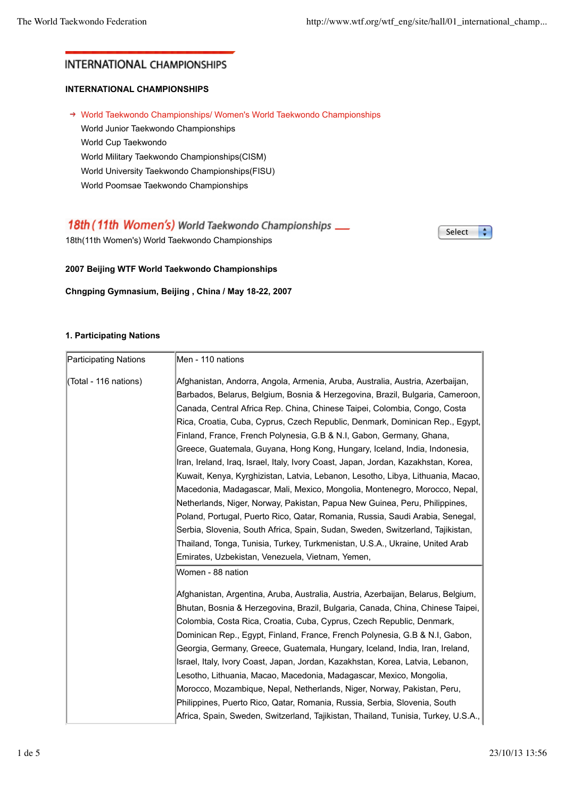# **INTERNATIONAL CHAMPIONSHIPS**

# **INTERNATIONAL CHAMPIONSHIPS**

→ World Taekwondo Championships/ Women's World Taekwondo Championships World Junior Taekwondo Championships World Cup Taekwondo World Military Taekwondo Championships(CISM) World University Taekwondo Championships(FISU) World Poomsae Taekwondo Championships

# 18th (11th Women's) World Taekwondo Championships \_\_

18th(11th Women's) World Taekwondo Championships

Select ÷

## **2007 Beijing WTF World Taekwondo Championships**

**Chngping Gymnasium, Beijing , China / May 18-22, 2007**

## **1. Participating Nations**

| Participating Nations | Men - 110 nations                                                                                                                                                                                                                                                                                                                                                                                                                                                                                                                                                                                                                                                                                                                                                                                                                      |
|-----------------------|----------------------------------------------------------------------------------------------------------------------------------------------------------------------------------------------------------------------------------------------------------------------------------------------------------------------------------------------------------------------------------------------------------------------------------------------------------------------------------------------------------------------------------------------------------------------------------------------------------------------------------------------------------------------------------------------------------------------------------------------------------------------------------------------------------------------------------------|
| (Total - 116 nations) | Afghanistan, Andorra, Angola, Armenia, Aruba, Australia, Austria, Azerbaijan,<br>Barbados, Belarus, Belgium, Bosnia & Herzegovina, Brazil, Bulgaria, Cameroon,<br>Canada, Central Africa Rep. China, Chinese Taipei, Colombia, Congo, Costa<br>Rica, Croatia, Cuba, Cyprus, Czech Republic, Denmark, Dominican Rep., Egypt,<br>Finland, France, French Polynesia, G.B & N.I, Gabon, Germany, Ghana,<br>Greece, Guatemala, Guyana, Hong Kong, Hungary, Iceland, India, Indonesia,                                                                                                                                                                                                                                                                                                                                                       |
|                       | Iran, Ireland, Iraq, Israel, Italy, Ivory Coast, Japan, Jordan, Kazakhstan, Korea,<br>Kuwait, Kenya, Kyrghizistan, Latvia, Lebanon, Lesotho, Libya, Lithuania, Macao,<br>Macedonia, Madagascar, Mali, Mexico, Mongolia, Montenegro, Morocco, Nepal,<br>Netherlands, Niger, Norway, Pakistan, Papua New Guinea, Peru, Philippines,<br>Poland, Portugal, Puerto Rico, Qatar, Romania, Russia, Saudi Arabia, Senegal,<br>Serbia, Slovenia, South Africa, Spain, Sudan, Sweden, Switzerland, Tajikistan,<br>Thailand, Tonga, Tunisia, Turkey, Turkmenistan, U.S.A., Ukraine, United Arab<br>Emirates, Uzbekistan, Venezuela, Vietnam, Yemen,                                                                                                                                                                                               |
|                       | Women - 88 nation<br>Afghanistan, Argentina, Aruba, Australia, Austria, Azerbaijan, Belarus, Belgium,<br>Bhutan, Bosnia & Herzegovina, Brazil, Bulgaria, Canada, China, Chinese Taipei,<br>Colombia, Costa Rica, Croatia, Cuba, Cyprus, Czech Republic, Denmark,<br>Dominican Rep., Egypt, Finland, France, French Polynesia, G.B & N.I, Gabon,<br>Georgia, Germany, Greece, Guatemala, Hungary, Iceland, India, Iran, Ireland,<br>Israel, Italy, Ivory Coast, Japan, Jordan, Kazakhstan, Korea, Latvia, Lebanon,<br>Lesotho, Lithuania, Macao, Macedonia, Madagascar, Mexico, Mongolia,<br>Morocco, Mozambique, Nepal, Netherlands, Niger, Norway, Pakistan, Peru,<br>Philippines, Puerto Rico, Qatar, Romania, Russia, Serbia, Slovenia, South<br>Africa, Spain, Sweden, Switzerland, Tajikistan, Thailand, Tunisia, Turkey, U.S.A., |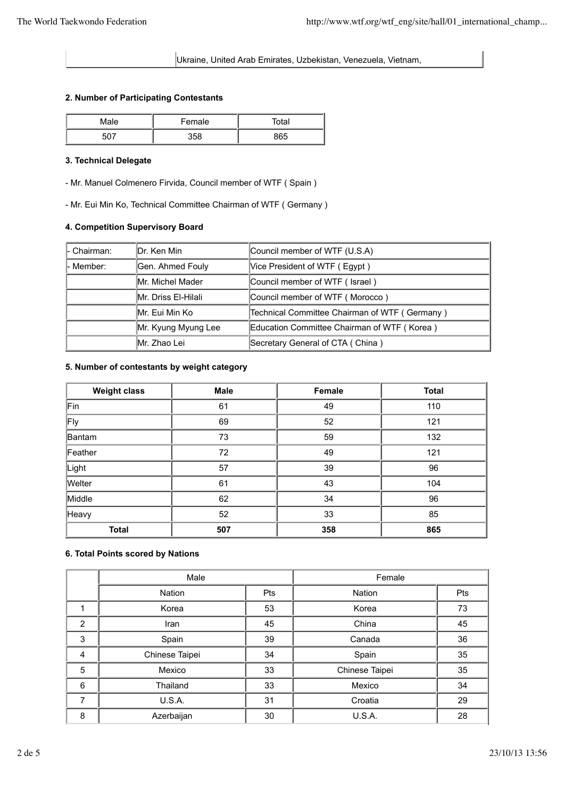Ukraine, United Arab Emirates, Uzbekistan, Venezuela, Vietnam,

#### **2. Number of Participating Contestants**

| Male | Female | ōtal |
|------|--------|------|
|      | 358    | QGE  |

### **3. Technical Delegate**

- Mr. Manuel Colmenero Firvida, Council member of WTF ( Spain )

- Mr. Eui Min Ko, Technical Committee Chairman of WTF ( Germany )

## **4. Competition Supervisory Board**

| l- Chairman: | IDr. Ken Min             | Council member of WTF (U.S.A)                 |
|--------------|--------------------------|-----------------------------------------------|
| - Member:    | Gen. Ahmed Fouly         | Vice President of WTF (Egypt)                 |
|              | <b>IMr. Michel Mader</b> | Council member of WTF (Israel)                |
|              | Mr. Driss El-Hilali      | Council member of WTF (Morocco)               |
|              | IMr. Eui Min Ko          | Technical Committee Chairman of WTF (Germany) |
|              | Mr. Kyung Myung Lee      | Education Committee Chairman of WTF (Korea)   |
|              | IMr. Zhao Lei            | Secretary General of CTA (China)              |

#### **5. Number of contestants by weight category**

| <b>Weight class</b> | <b>Male</b> | Female | <b>Total</b> |
|---------------------|-------------|--------|--------------|
| Fin                 | 61          | 49     | 110          |
| Fly                 | 69          | 52     | 121          |
| Bantam              | 73          | 59     | 132          |
| Feather             | 72          | 49     | 121          |
| Light               | 57          | 39     | 96           |
| Welter              | 61          | 43     | 104          |
| Middle              | 62          | 34     | 96           |
| Heavy               | 52          | 33     | 85           |
| <b>Total</b>        | 507         | 358    | 865          |

#### **6. Total Points scored by Nations**

|   | Male           |            | Female         |            |
|---|----------------|------------|----------------|------------|
|   | <b>Nation</b>  | <b>Pts</b> | <b>Nation</b>  | <b>Pts</b> |
|   | Korea          | 53         | Korea          | 73         |
| 2 | Iran           | 45         | China          | 45         |
| 3 | Spain          | 39         | Canada         | 36         |
| 4 | Chinese Taipei | 34         | Spain          | 35         |
| 5 | Mexico         | 33         | Chinese Taipei | 35         |
| 6 | Thailand       | 33         | Mexico         | 34         |
| 7 | U.S.A.         | 31         | Croatia        | 29         |
| 8 | Azerbaijan     | 30         | U.S.A.         | 28         |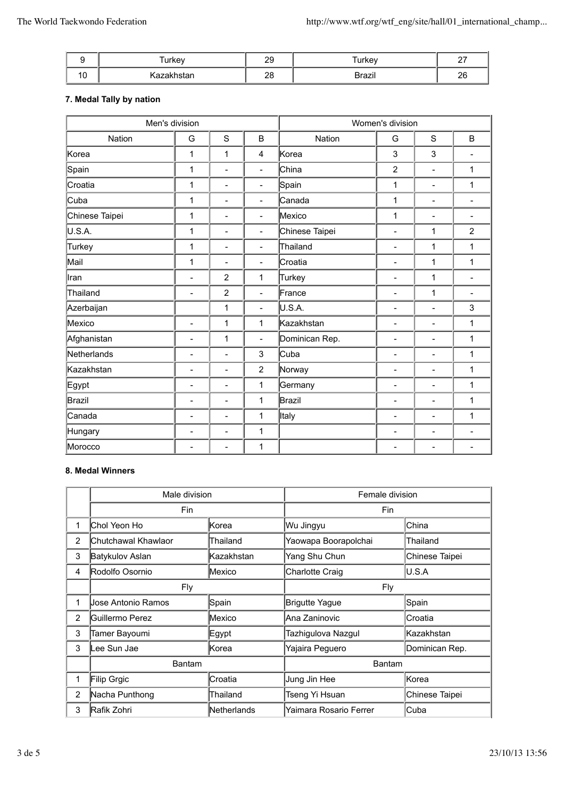|    | urkey                | nn<br>∠ຯ       | <b>Turkey</b>                     | $\sim$<br>$\epsilon$ |
|----|----------------------|----------------|-----------------------------------|----------------------|
| 10 | <u>Nazani istari</u> | $\Omega$<br>∠∪ | . .<br>$D$ ro $\neg$ in<br>DIAZII | റമ<br>ZU             |

## **7. Medal Tally by nation**

| Men's division |                          | Women's division         |                          |                |                          |                          |                          |
|----------------|--------------------------|--------------------------|--------------------------|----------------|--------------------------|--------------------------|--------------------------|
| Nation         | G                        | S                        | B                        | Nation         | G                        | $\mathbf S$              | B                        |
| Korea          | 1                        | $\mathbf{1}$             | $\overline{4}$           | Korea          | 3                        | 3                        |                          |
| Spain          | 1                        | $\blacksquare$           | $\blacksquare$           | China          | $\overline{2}$           | $\overline{\phantom{a}}$ | 1                        |
| Croatia        | 1                        | $\overline{\phantom{a}}$ | $\overline{\phantom{a}}$ | Spain          | $\mathbf{1}$             | $\overline{\phantom{a}}$ | 1                        |
| Cuba           | 1                        | $\overline{\phantom{a}}$ | $\overline{\phantom{a}}$ | Canada         | $\mathbf{1}$             | $\qquad \qquad -$        | $\overline{\phantom{a}}$ |
| Chinese Taipei | 1                        | $\overline{\phantom{a}}$ | $\overline{\phantom{0}}$ | Mexico         | 1                        | $\overline{\phantom{a}}$ | $\overline{\phantom{a}}$ |
| U.S.A.         | 1                        | $\overline{\phantom{a}}$ | $\overline{\phantom{0}}$ | Chinese Taipei | $\overline{a}$           | 1                        | $\overline{2}$           |
| Turkey         | 1                        | $\overline{\phantom{a}}$ | $\overline{\phantom{0}}$ | Thailand       | $\overline{\phantom{m}}$ | 1                        | 1                        |
| Mail           | 1                        | $\blacksquare$           | $\overline{\phantom{0}}$ | Croatia        | $\overline{\phantom{a}}$ | 1                        | 1                        |
| ∥ran           | $\overline{\phantom{m}}$ | $\overline{2}$           | 1                        | Turkey         | $\qquad \qquad -$        | 1                        | $\overline{\phantom{a}}$ |
| Thailand       | $\overline{\phantom{a}}$ | $\overline{2}$           | $\overline{\phantom{0}}$ | France         | $\overline{\phantom{a}}$ | 1                        | $\overline{\phantom{a}}$ |
| Azerbaijan     |                          | $\mathbf{1}$             | $\overline{\phantom{0}}$ | U.S.A.         | $\overline{\phantom{a}}$ | $\overline{\phantom{0}}$ | 3                        |
| Mexico         | $\overline{\phantom{a}}$ | $\mathbf{1}$             | 1                        | Kazakhstan     | $\qquad \qquad -$        | $\overline{\phantom{a}}$ | 1                        |
| Afghanistan    | $\overline{\phantom{m}}$ | 1                        | $\overline{a}$           | Dominican Rep. | $\overline{\phantom{a}}$ | $\overline{\phantom{a}}$ | 1                        |
| Netherlands    | $\overline{\phantom{a}}$ | $\overline{\phantom{a}}$ | 3                        | Cuba           | $\overline{\phantom{m}}$ | $\overline{\phantom{0}}$ | 1                        |
| Kazakhstan     | $\overline{\phantom{a}}$ | $\overline{\phantom{a}}$ | $\overline{2}$           | Norway         | $\overline{\phantom{a}}$ | $\overline{\phantom{a}}$ | 1                        |
| Egypt          | $\frac{1}{2}$            | $\overline{\phantom{a}}$ | 1                        | Germany        | $\frac{1}{2}$            | $\frac{1}{2}$            | 1                        |
| Brazil         | $\overline{\phantom{a}}$ | $\overline{\phantom{a}}$ | 1                        | Brazil         | $\overline{\phantom{a}}$ | $\overline{\phantom{a}}$ | 1                        |
| Canada         | $\overline{\phantom{a}}$ | $\overline{\phantom{a}}$ | 1                        | <b>Italy</b>   | $\overline{\phantom{m}}$ | $\overline{\phantom{a}}$ | 1                        |
| Hungary        | $\qquad \qquad -$        | $\overline{\phantom{a}}$ | 1                        |                | $\overline{\phantom{a}}$ | $\qquad \qquad -$        | $\overline{\phantom{a}}$ |
| Morocco        | $\overline{\phantom{a}}$ | $\blacksquare$           | 1                        |                | $\overline{\phantom{0}}$ | $\overline{\phantom{0}}$ | ۰                        |

## **8. Medal Winners**

|                | Male division       |             | Female division        |                |
|----------------|---------------------|-------------|------------------------|----------------|
|                | Fin                 |             | Fin                    |                |
|                | Chol Yeon Ho        | Korea       | Wu Jingyu              | China          |
| 2              | Chutchawal Khawlaor | Thailand    | Yaowapa Boorapolchai   | Thailand       |
| 3              | Batykulov Aslan     | Kazakhstan  | Yang Shu Chun          | Chinese Taipei |
| 4              | Rodolfo Osornio     | Mexico      | Charlotte Craig        | U.S.A          |
|                | <b>Fly</b>          |             | Fly                    |                |
|                | Jose Antonio Ramos  | Spain       | <b>Brigutte Yague</b>  | Spain          |
| 2              | Guillermo Perez     | Mexico      | Ana Zaninovic          | Croatia        |
| 3              | Tamer Bayoumi       | ∣Egypt      | Tazhigulova Nazgul     | Kazakhstan     |
| 3              | Lee Sun Jae         | Korea       | Yajaira Peguero        | Dominican Rep. |
|                | <b>Bantam</b>       |             | <b>Bantam</b>          |                |
|                | Filip Grgic         | Croatia     | Jung Jin Hee           | Korea          |
| $\overline{2}$ | Nacha Punthong      | Thailand    | Tseng Yi Hsuan         | Chinese Taipei |
| 3              | Rafik Zohri         | Netherlands | Yaimara Rosario Ferrer | Cuba           |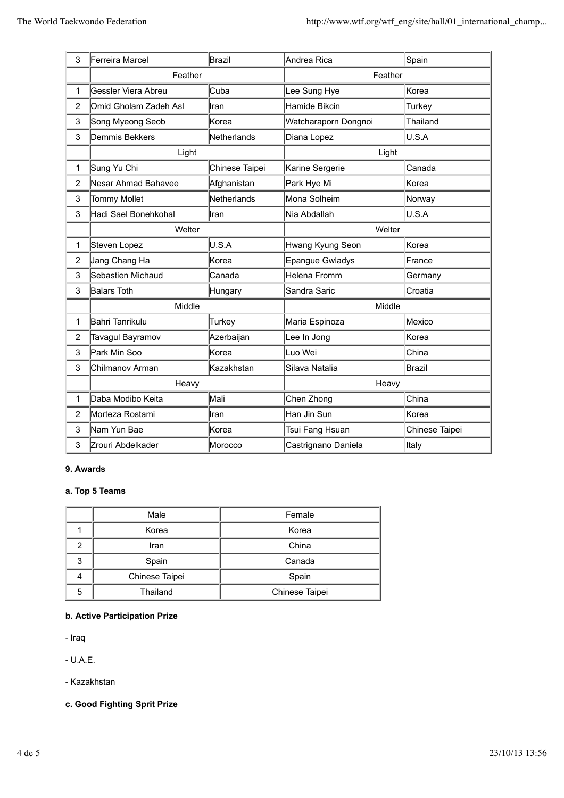| 3              | Ferreira Marcel       | Brazil         | Andrea Rica          | Spain          |
|----------------|-----------------------|----------------|----------------------|----------------|
|                | Feather               |                | Feather              |                |
| 1              | Gessler Viera Abreu   | Cuba           | Lee Sung Hye         | Korea          |
| $\overline{2}$ | Omid Gholam Zadeh Asl | Iran           | Hamide Bikcin        | Turkey         |
| 3              | Song Myeong Seob      | Korea          | Watcharaporn Dongnoi | Thailand       |
| 3              | Demmis Bekkers        | Netherlands    | Diana Lopez          | U.S.A          |
|                | Light                 |                | Light                |                |
| 1              | Sung Yu Chi           | Chinese Taipei | Karine Sergerie      | Canada         |
| $\overline{2}$ | Nesar Ahmad Bahavee   | Afghanistan    | Park Hye Mi          | Korea          |
| 3              | <b>Tommy Mollet</b>   | Netherlands    | Mona Solheim         | Norway         |
| 3              | Hadi Sael Bonehkohal  | Iran           | Nia Abdallah         | U.S.A          |
|                | Welter                |                | Welter               |                |
| 1              | Steven Lopez          | U.S.A          | Hwang Kyung Seon     | Korea          |
| $\overline{2}$ | Jang Chang Ha         | Korea          | Epangue Gwladys      | France         |
| 3              | Sebastien Michaud     | Canada         | Helena Fromm         | Germany        |
| 3              | Balars Toth           | Hungary        | Sandra Saric         | Croatia        |
|                | Middle                |                | Middle               |                |
| 1              | Bahri Tanrikulu       | Turkey         | Maria Espinoza       | Mexico         |
| $\overline{2}$ | Tavagul Bayramov      | Azerbaijan     | Lee In Jong          | Korea          |
| 3              | Park Min Soo          | Korea          | Luo Wei              | China          |
| 3              | Chilmanov Arman       | Kazakhstan     | Silava Natalia       | Brazil         |
|                | Heavy                 |                | Heavy                |                |
| 1              | Daba Modibo Keita     | Mali           | Chen Zhong           | China          |
| $\overline{2}$ | Morteza Rostami       | Iran           | Han Jin Sun          | Korea          |
| 3              | Nam Yun Bae           | Korea          | Tsui Fang Hsuan      | Chinese Taipei |
| 3              | Zrouri Abdelkader     | Morocco        | Castrignano Daniela  | Italy          |

### **9. Awards**

## **a. Top 5 Teams**

|                | Male     | Female         |  |
|----------------|----------|----------------|--|
|                | Korea    | Korea          |  |
| 2              | Iran     | China          |  |
| 3              | Spain    | Canada         |  |
| Chinese Taipei |          | Spain          |  |
| 5              | Thailand | Chinese Taipei |  |

## **b. Active Participation Prize**

- Iraq

- U.A.E.

- Kazakhstan

**c. Good Fighting Sprit Prize**